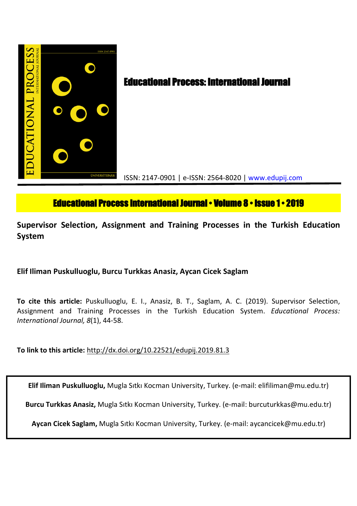

# **Educational Process International Journal • Volume 8 • Issue 1 • 2019**

**Supervisor Selection, Assignment and Training Processes in the Turkish Education System**

**Elif Iliman Puskulluoglu, Burcu Turkkas Anasiz, Aycan Cicek Saglam**

**To cite this article:** Puskulluoglu, E. I., Anasiz, B. T., Saglam, A. C. (2019). Supervisor Selection, Assignment and Training Processes in the Turkish Education System. *Educational Process: International Journal, 8*(1), 44-58.

**To link to this article:** http://dx.doi.org/10.22521/edupij.2019.81.3

**Elif Iliman Puskulluoglu,** Mugla Sıtkı Kocman University, Turkey. (e-mail: elifiliman@mu.edu.tr)

**Burcu Turkkas Anasiz,** Mugla Sıtkı Kocman University, Turkey. (e-mail: burcuturkkas@mu.edu.tr)

**Aycan Cicek Saglam,** Mugla Sıtkı Kocman University, Turkey. (e-mail: aycancicek@mu.edu.tr)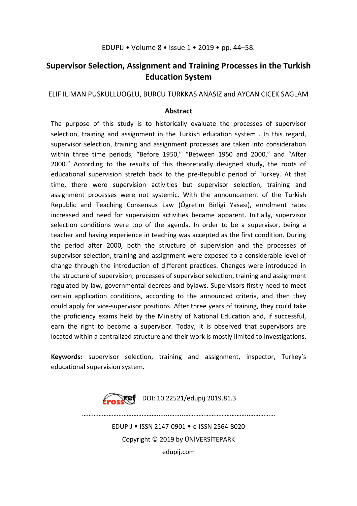## EDUPIJ • Volume 8 • Issue 1 • 2019 • pp. 44–58.

## **Supervisor Selection, Assignment and Training Processes in the Turkish Education System**

## ELIF ILIMAN PUSKULLUOGLU, BURCU TURKKAS ANASIZ and AYCAN CICEK SAGLAM

## **Abstract**

The purpose of this study is to historically evaluate the processes of supervisor selection, training and assignment in the Turkish education system . In this regard, supervisor selection, training and assignment processes are taken into consideration within three time periods; "Before 1950," "Between 1950 and 2000," and "After 2000." According to the results of this theoretically designed study, the roots of educational supervision stretch back to the pre-Republic period of Turkey. At that time, there were supervision activities but supervisor selection, training and assignment processes were not systemic. With the announcement of the Turkish Republic and Teaching Consensus Law (Ögretim Birligi Yasası), enrolment rates increased and need for supervision activities became apparent. Initially, supervisor selection conditions were top of the agenda. In order to be a supervisor, being a teacher and having experience in teaching was accepted as the first condition. During the period after 2000, both the structure of supervision and the processes of supervisor selection, training and assignment were exposed to a considerable level of change through the introduction of different practices. Changes were introduced in the structure of supervision, processes of supervisor selection, training and assignment regulated by law, governmental decrees and bylaws. Supervisors firstly need to meet certain application conditions, according to the announced criteria, and then they could apply for vice-supervisor positions. After three years of training, they could take the proficiency exams held by the Ministry of National Education and, if successful, earn the right to become a supervisor. Today, it is observed that supervisors are located within a centralized structure and their work is mostly limited to investigations.

**Keywords:** supervisor selection, training and assignment, inspector, Turkey's educational supervision system.



………………………………………........….....………………………………...…………… EDUPIJ • ISSN 2147-0901 • e-ISSN 2564-8020 Copyright © 2019 by ÜNİVERSİTEPARK edupij.com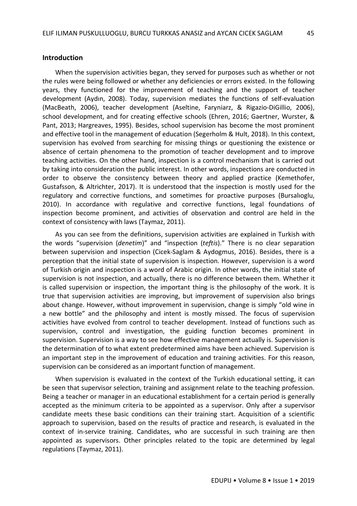#### **Introduction**

When the supervision activities began, they served for purposes such as whether or not the rules were being followed or whether any deficiencies or errors existed. In the following years, they functioned for the improvement of teaching and the support of teacher development (Aydın, 2008). Today, supervision mediates the functions of self-evaluation (MacBeath, 2006), teacher development (Aseltine, Faryniarz, & Rigazio-DiGillio, 2006), school development, and for creating effective schools (Ehren, 2016; Gaertner, Wurster, & Pant, 2013; Hargreaves, 1995). Besides, school supervision has become the most prominent and effective tool in the management of education (Segerholm & Hult, 2018). In this context, supervision has evolved from searching for missing things or questioning the existence or absence of certain phenomena to the promotion of teacher development and to improve teaching activities. On the other hand, inspection is a control mechanism that is carried out by taking into consideration the public interest. In other words, inspections are conducted in order to observe the consistency between theory and applied practice (Kemethofer, Gustafsson, & Altrichter, 2017). It is understood that the inspection is mostly used for the regulatory and corrective functions, and sometimes for proactive purposes (Bursalıoglu, 2010). In accordance with regulative and corrective functions, legal foundations of inspection become prominent, and activities of observation and control are held in the context of consistency with laws (Taymaz, 2011).

As you can see from the definitions, supervision activities are explained in Turkish with the words "supervision (*denetim*)" and "inspection (*teftis*)." There is no clear separation between supervision and inspection (Cicek-Saglam & Aydogmus, 2016). Besides, there is a perception that the initial state of supervision is inspection. However, supervision is a word of Turkish origin and inspection is a word of Arabic origin. In other words, the initial state of supervision is not inspection, and actually, there is no difference between them. Whether it is called supervision or inspection, the important thing is the philosophy of the work. It is true that supervision activities are improving, but improvement of supervision also brings about change. However, without improvement in supervision, change is simply "old wine in a new bottle" and the philosophy and intent is mostly missed. The focus of supervision activities have evolved from control to teacher development. Instead of functions such as supervision, control and investigation, the guiding function becomes prominent in supervision. Supervision is a way to see how effective management actually is. Supervision is the determination of to what extent predetermined aims have been achieved. Supervision is an important step in the improvement of education and training activities. For this reason, supervision can be considered as an important function of management.

When supervision is evaluated in the context of the Turkish educational setting, it can be seen that supervisor selection, training and assignment relate to the teaching profession. Being a teacher or manager in an educational establishment for a certain period is generally accepted as the minimum criteria to be appointed as a supervisor. Only after a supervisor candidate meets these basic conditions can their training start. Acquisition of a scientific approach to supervision, based on the results of practice and research, is evaluated in the context of in-service training. Candidates, who are successful in such training are then appointed as supervisors. Other principles related to the topic are determined by legal regulations (Taymaz, 2011).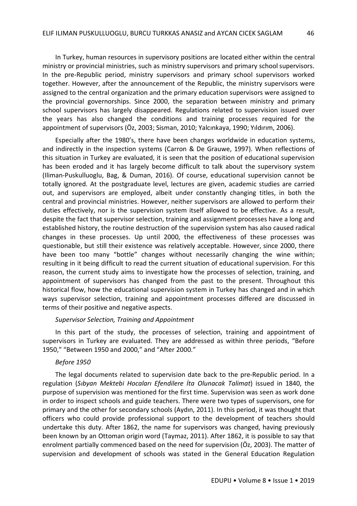In Turkey, human resources in supervisory positions are located either within the central ministry or provincial ministries, such as ministry supervisors and primary schoolsupervisors. In the pre-Republic period, ministry supervisors and primary school supervisors worked together. However, after the announcement of the Republic, the ministry supervisors were assigned to the central organization and the primary education supervisors were assigned to the provincial governorships. Since 2000, the separation between ministry and primary school supervisors has largely disappeared. Regulations related to supervision issued over the years has also changed the conditions and training processes required for the appointment of supervisors (Öz, 2003; Sisman, 2010; Yalcınkaya, 1990; Yıldırım, 2006).

Especially after the 1980's, there have been changes worldwide in education systems, and indirectly in the inspection systems (Carron & De Grauwe, 1997). When reflections of this situation in Turkey are evaluated, it is seen that the position of educational supervision has been eroded and it has largely become difficult to talk about the supervisory system (Iliman-Puskulluoglu, Bag, & Duman, 2016). Of course, educational supervision cannot be totally ignored. At the postgraduate level, lectures are given, academic studies are carried out, and supervisors are employed, albeit under constantly changing titles, in both the central and provincial ministries. However, neither supervisors are allowed to perform their duties effectively, nor is the supervision system itself allowed to be effective. As a result, despite the fact that supervisor selection, training and assignment processes have a long and established history, the routine destruction of the supervision system has also caused radical changes in these processes. Up until 2000, the effectiveness of these processes was questionable, but still their existence was relatively acceptable. However, since 2000, there have been too many "bottle" changes without necessarily changing the wine within; resulting in it being difficult to read the current situation of educational supervision. For this reason, the current study aims to investigate how the processes of selection, training, and appointment of supervisors has changed from the past to the present. Throughout this historical flow, how the educational supervision system in Turkey has changed and in which ways supervisor selection, training and appointment processes differed are discussed in terms of their positive and negative aspects.

#### *Supervisor Selection, Training and Appointment*

In this part of the study, the processes of selection, training and appointment of supervisors in Turkey are evaluated. They are addressed as within three periods, "Before 1950," "Between 1950 and 2000," and "After 2000."

#### *Before 1950*

The legal documents related to supervision date back to the pre-Republic period. In a regulation (*Sıbyan Mektebi Hocaları Efendilere İta Olunacak Talimat*) issued in 1840, the purpose of supervision was mentioned for the first time. Supervision was seen as work done in order to inspect schools and guide teachers. There were two types of supervisors, one for primary and the other for secondary schools (Aydın, 2011). In this period, it was thought that officers who could provide professional support to the development of teachers should undertake this duty. After 1862, the name for supervisors was changed, having previously been known by an Ottoman origin word (Taymaz, 2011). After 1862, it is possible to say that enrolment partially commenced based on the need for supervision (Öz, 2003). The matter of supervision and development of schools was stated in the General Education Regulation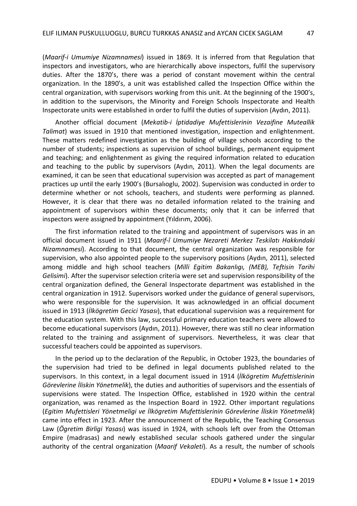(*Maarif-i Umumiye Nizamnamesi*) issued in 1869. It is inferred from that Regulation that inspectors and investigators, who are hierarchically above inspectors, fulfil the supervisory duties. After the 1870's, there was a period of constant movement within the central organization. In the 1890's, a unit was established called the Inspection Office within the central organization, with supervisors working from this unit. At the beginning of the 1900's, in addition to the supervisors, the Minority and Foreign Schools Inspectorate and Health Inspectorate units were established in order to fulfil the duties of supervision (Aydın, 2011).

Another official document (*Mekatib-i İptidadiye Mufettislerinin Vezaifine Muteallik Talimat*) was issued in 1910 that mentioned investigation, inspection and enlightenment. These matters redefined investigation as the building of village schools according to the number of students; inspections as supervision of school buildings, permanent equipment and teaching; and enlightenment as giving the required information related to education and teaching to the public by supervisors (Aydın, 2011). When the legal documents are examined, it can be seen that educational supervision was accepted as part of management practices up until the early 1900's (Bursalıoglu, 2002). Supervision was conducted in order to determine whether or not schools, teachers, and students were performing as planned. However, it is clear that there was no detailed information related to the training and appointment of supervisors within these documents; only that it can be inferred that inspectors were assigned by appointment (Yıldırım, 2006).

The first information related to the training and appointment of supervisors was in an official document issued in 1911 (*Maarif-î Umumiye Nezareti Merkez Teskilatı Hakkındaki Nizamnamesi*). According to that document, the central organization was responsible for supervision, who also appointed people to the supervisory positions (Aydın, 2011), selected among middle and high school teachers (*Milli Egitim Bakanlıgı, (MEB), Teftisin Tarihi Gelisimi*). After the supervisor selection criteria were set and supervision responsibility of the central organization defined, the General Inspectorate department was established in the central organization in 1912. Supervisors worked under the guidance of general supervisors, who were responsible for the supervision. It was acknowledged in an official document issued in 1913 (*İlkögretim Gecici Yasası*), that educational supervision was a requirement for the education system. With this law, successful primary education teachers were allowed to become educational supervisors (Aydın, 2011). However, there was still no clear information related to the training and assignment of supervisors. Nevertheless, it was clear that successful teachers could be appointed as supervisors.

In the period up to the declaration of the Republic, in October 1923, the boundaries of the supervision had tried to be defined in legal documents published related to the supervisors. In this context, in a legal document issued in 1914 (*İlkögretim Mufettislerinin Görevlerine İliskin Yönetmelik*), the duties and authorities of supervisors and the essentials of supervisions were stated. The Inspection Office, established in 1920 within the central organization, was renamed as the Inspection Board in 1922. Other important regulations (*Egitim Mufettisleri Yönetmeligi ve İlkögretim Mufettislerinin Görevlerine İliskin Yönetmelik*) came into effect in 1923. After the announcement of the Republic, the Teaching Consensus Law (*Ögretim Birligi Yasası*) was issued in 1924, with schools left over from the Ottoman Empire (madrasas) and newly established secular schools gathered under the singular authority of the central organization (*Maarif Vekaleti*). As a result, the number of schools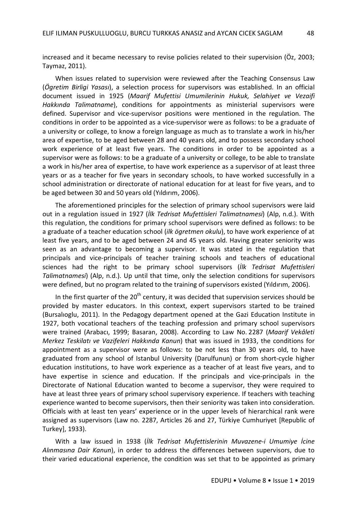increased and it became necessary to revise policies related to their supervision (Öz, 2003; Taymaz, 2011).

When issues related to supervision were reviewed after the Teaching Consensus Law (*Ögretim Birligi Yasası*), a selection process for supervisors was established. In an official document issued in 1925 (*Maarif Mufettisi Umumilerinin Hukuk, Selahiyet ve Vezaifi Hakkında Talimatname*), conditions for appointments as ministerial supervisors were defined. Supervisor and vice-supervisor positions were mentioned in the regulation. The conditions in order to be appointed as a vice-supervisor were as follows: to be a graduate of a university or college, to know a foreign language as much as to translate a work in his/her area of expertise, to be aged between 28 and 40 years old, and to possess secondary school work experience of at least five years. The conditions in order to be appointed as a supervisor were as follows: to be a graduate of a university or college, to be able to translate a work in his/her area of expertise, to have work experience as a supervisor of at least three years or as a teacher for five years in secondary schools, to have worked successfully in a school administration or directorate of national education for at least for five years, and to be aged between 30 and 50 years old (Yıldırım, 2006).

The aforementioned principles for the selection of primary school supervisors were laid out in a regulation issued in 1927 (*İlk Tedrisat Mufettisleri Talimatnamesi*) (Alp, n.d.). With this regulation, the conditions for primary school supervisors were defined as follows: to be a graduate of a teacher education school (*ilk ögretmen okulu*), to have work experience of at least five years, and to be aged between 24 and 45 years old. Having greater seniority was seen as an advantage to becoming a supervisor. It was stated in the regulation that principals and vice-principals of teacher training schools and teachers of educational sciences had the right to be primary school supervisors (*İlk Tedrisat Mufettisleri Talimatnamesi*) (Alp, n.d.). Up until that time, only the selection conditions for supervisors were defined, but no program related to the training of supervisors existed (Yıldırım, 2006).

In the first quarter of the  $20<sup>th</sup>$  century, it was decided that supervision services should be provided by master educators. In this context, expert supervisors started to be trained (Bursalıoglu, 2011). In the Pedagogy department opened at the Gazi Education Institute in 1927, both vocational teachers of the teaching profession and primary school supervisors were trained (Arabacı, 1999; Basaran, 2008). According to Law No. 2287 (*Maarif Vekâleti Merkez Teskilatı ve Vazifeleri Hakkında Kanun*) that was issued in 1933, the conditions for appointment as a supervisor were as follows: to be not less than 30 years old, to have graduated from any school of Istanbul University (Darulfunun) or from short-cycle higher education institutions, to have work experience as a teacher of at least five years, and to have expertise in science and education. If the principals and vice-principals in the Directorate of National Education wanted to become a supervisor, they were required to have at least three years of primary school supervisory experience. If teachers with teaching experience wanted to become supervisors, then their seniority was taken into consideration. Officials with at least ten years' experience or in the upper levels of hierarchical rank were assigned as supervisors (Law no. 2287, Articles 26 and 27, Türkiye Cumhuriyet [Republic of Turkey], 1933).

With a law issued in 1938 (*İlk Tedrisat Mufettislerinin Muvazene-i Umumiye İcine Alınmasına Dair Kanun*), in order to address the differences between supervisors, due to their varied educational experience, the condition was set that to be appointed as primary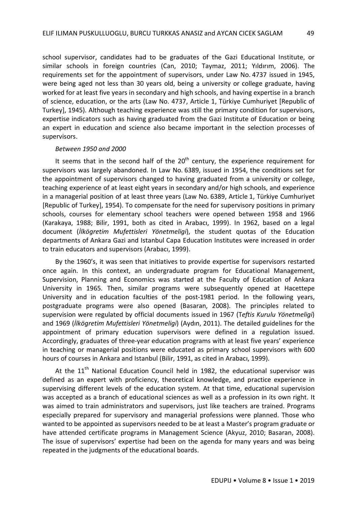school supervisor, candidates had to be graduates of the Gazi Educational Institute, or similar schools in foreign countries (Can, 2010; Taymaz, 2011; Yıldırım, 2006). The requirements set for the appointment of supervisors, under Law No. 4737 issued in 1945, were being aged not less than 30 years old, being a university or college graduate, having worked for at least five years in secondary and high schools, and having expertise in a branch of science, education, or the arts (Law No. 4737, Article 1, Türkiye Cumhuriyet [Republic of Turkey], 1945). Although teaching experience was still the primary condition for supervisors, expertise indicators such as having graduated from the Gazi Institute of Education or being an expert in education and science also became important in the selection processes of supervisors.

#### *Between 1950 and 2000*

It seems that in the second half of the  $20<sup>th</sup>$  century, the experience requirement for supervisors was largely abandoned. In Law No. 6389, issued in 1954, the conditions set for the appointment of supervisors changed to having graduated from a university or college, teaching experience of at least eight years in secondary and/or high schools, and experience in a managerial position of at least three years (Law No. 6389, Article 1, Türkiye Cumhuriyet [Republic of Turkey], 1954). To compensate for the need for supervisory positions in primary schools, courses for elementary school teachers were opened between 1958 and 1966 (Karakaya, 1988; Bilir, 1991, both as cited in Arabacı, 1999). In 1962, based on a legal document (*İlkögretim Mufettisleri Yönetmeligi*), the student quotas of the Education departments of Ankara Gazi and Istanbul Capa Education Institutes were increased in order to train educators and supervisors (Arabacı, 1999).

By the 1960's, it was seen that initiatives to provide expertise for supervisors restarted once again. In this context, an undergraduate program for Educational Management, Supervision, Planning and Economics was started at the Faculty of Education of Ankara University in 1965. Then, similar programs were subsequently opened at Hacettepe University and in education faculties of the post-1981 period. In the following years, postgraduate programs were also opened (Basaran, 2008). The principles related to supervision were regulated by official documents issued in 1967 (T*eftis Kurulu Yönetmeligi*) and 1969 (*İlkögretim Mufettisleri Yönetmeligi*) (Aydın, 2011). The detailed guidelines for the appointment of primary education supervisors were defined in a regulation issued. Accordingly, graduates of three-year education programs with at least five years' experience in teaching or managerial positions were educated as primary school supervisors with 600 hours of courses in Ankara and Istanbul (Bilir, 1991, as cited in Arabacı, 1999).

At the  $11<sup>th</sup>$  National Education Council held in 1982, the educational supervisor was defined as an expert with proficiency, theoretical knowledge, and practice experience in supervising different levels of the education system. At that time, educational supervision was accepted as a branch of educational sciences as well as a profession in its own right. It was aimed to train administrators and supervisors, just like teachers are trained. Programs especially prepared for supervisory and managerial professions were planned. Those who wanted to be appointed as supervisors needed to be at least a Master's program graduate or have attended certificate programs in Management Science (Akyuz, 2010; Basaran, 2008). The issue of supervisors' expertise had been on the agenda for many years and was being repeated in the judgments of the educational boards.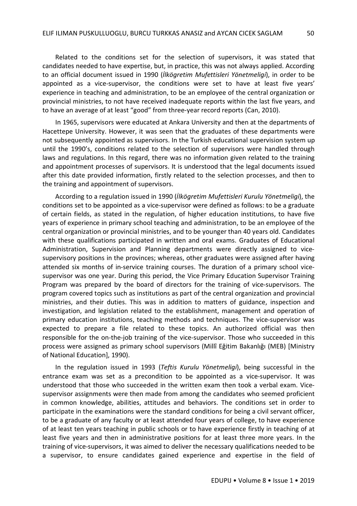Related to the conditions set for the selection of supervisors, it was stated that candidates needed to have expertise, but, in practice, this was not always applied. According to an official document issued in 1990 (*İlkögretim Mufettisleri Yönetmeligi*), in order to be appointed as a vice-supervisor, the conditions were set to have at least five years' experience in teaching and administration, to be an employee of the central organization or provincial ministries, to not have received inadequate reports within the last five years, and to have an average of at least "good" from three-year record reports (Can, 2010).

In 1965, supervisors were educated at Ankara University and then at the departments of Hacettepe University. However, it was seen that the graduates of these departments were not subsequently appointed as supervisors. In the Turkish educational supervision system up until the 1990's, conditions related to the selection of supervisors were handled through laws and regulations. In this regard, there was no information given related to the training and appointment processes of supervisors. It is understood that the legal documents issued after this date provided information, firstly related to the selection processes, and then to the training and appointment of supervisors.

According to a regulation issued in 1990 (*İlkögretim Mufettisleri Kurulu Yönetmeligi*), the conditions set to be appointed as a vice-supervisor were defined as follows: to be a graduate of certain fields, as stated in the regulation, of higher education institutions, to have five years of experience in primary school teaching and administration, to be an employee of the central organization or provincial ministries, and to be younger than 40 years old. Candidates with these qualifications participated in written and oral exams. Graduates of Educational Administration, Supervision and Planning departments were directly assigned to vicesupervisory positions in the provinces; whereas, other graduates were assigned after having attended six months of in-service training courses. The duration of a primary school vicesupervisor was one year. During this period, the Vice Primary Education Supervisor Training Program was prepared by the board of directors for the training of vice-supervisors. The program covered topics such as institutions as part of the central organization and provincial ministries, and their duties. This was in addition to matters of guidance, inspection and investigation, and legislation related to the establishment, management and operation of primary education institutions, teaching methods and techniques. The vice-supervisor was expected to prepare a file related to these topics. An authorized official was then responsible for the on-the-job training of the vice-supervisor. Those who succeeded in this process were assigned as primary school supervisors (Millî Eğitim Bakanlığı (MEB) [Ministry of National Education], 1990).

In the regulation issued in 1993 (*Teftis Kurulu Yönetmeligi*), being successful in the entrance exam was set as a precondition to be appointed as a vice-supervisor. It was understood that those who succeeded in the written exam then took a verbal exam. Vicesupervisor assignments were then made from among the candidates who seemed proficient in common knowledge, abilities, attitudes and behaviors. The conditions set in order to participate in the examinations were the standard conditions for being a civil servant officer, to be a graduate of any faculty or at least attended four years of college, to have experience of at least ten years teaching in public schools or to have experience firstly in teaching of at least five years and then in administrative positions for at least three more years. In the training of vice-supervisors, it was aimed to deliver the necessary qualifications needed to be a supervisor, to ensure candidates gained experience and expertise in the field of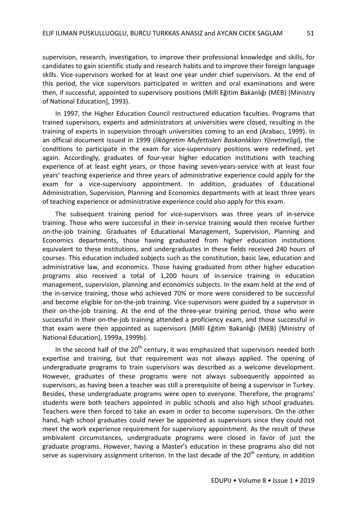supervision, research, investigation, to improve their professional knowledge and skills, for candidates to gain scientific study and research habits and to improve their foreign language skills. Vice-supervisors worked for at least one year under chief supervisors. At the end of this period, the vice supervisors participated in written and oral examinations and were then, if successful, appointed to supervisory positions (Millî Eğitim Bakanlığı (MEB) [Ministry of National Education], 1993).

In 1997, the Higher Education Council restructured education faculties. Programs that trained supervisors, experts and administrators at universities were closed, resulting in the training of experts in supervision through universities coming to an end (Arabacı, 1999). In an official document issued in 1999 (*İlkögretim Mufettisleri Baskanlıkları Yönetmeligi*), the conditions to participate in the exam for vice-supervisory positions were redefined, yet again. Accordingly, graduates of four-year higher education institutions with teaching experience of at least eight years, or those having seven-years-service with at least four years' teaching experience and three years of administrative experience could apply for the exam for a vice-supervisory appointment. In addition, graduates of Educational Administration, Supervision, Planning and Economics departments with at least three years of teaching experience or administrative experience could also apply for this exam.

The subsequent training period for vice-supervisors was three years of in-service training. Those who were successful in their in-service training would then receive further on-the-job training. Graduates of Educational Management, Supervision, Planning and Economics departments, those having graduated from higher education institutions equivalent to these institutions, and undergraduates in these fields received 240 hours of courses. This education included subjects such as the constitution, basic law, education and administrative law, and economics. Those having graduated from other higher education programs also received a total of 1,200 hours of in-service training in education management, supervision, planning and economics subjects. In the exam held at the end of the in-service training, those who achieved 70% or more were considered to be successful and become eligible for on-the-job training. Vice-supervisors were guided by a supervisor in their on-the-job training. At the end of the three-year training period, those who were successful in their on-the-job training attended a proficiency exam, and those successful in that exam were then appointed as supervisors (Millî Eğitim Bakanlığı (MEB) [Ministry of National Education], 1999a, 1999b).

In the second half of the  $20<sup>th</sup>$  century, it was emphasized that supervisors needed both expertise and training, but that requirement was not always applied. The opening of undergraduate programs to train supervisors was described as a welcome development. However, graduates of these programs were not always subsequently appointed as supervisors, as having been a teacher was still a prerequisite of being a supervisor in Turkey. Besides, these undergraduate programs were open to everyone. Therefore, the programs' students were both teachers appointed in public schools and also high school graduates. Teachers were then forced to take an exam in order to become supervisors. On the other hand, high school graduates could never be appointed as supervisors since they could not meet the work experience requirement for supervisory appointment. As the result of these ambivalent circumstances, undergraduate programs were closed in favor of just the graduate programs. However, having a Master's education in these programs also did not serve as supervisory assignment criterion. In the last decade of the  $20<sup>th</sup>$  century, in addition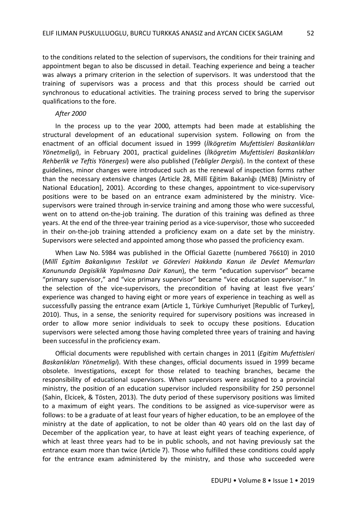to the conditions related to the selection of supervisors, the conditions for their training and appointment began to also be discussed in detail. Teaching experience and being a teacher was always a primary criterion in the selection of supervisors. It was understood that the training of supervisors was a process and that this process should be carried out synchronous to educational activities. The training process served to bring the supervisor qualifications to the fore.

#### *After 2000*

In the process up to the year 2000, attempts had been made at establishing the structural development of an educational supervision system. Following on from the enactment of an official document issued in 1999 (*İlkögretim Mufettisleri Baskanlıkları Yönetmeligi*), in February 2001, practical guidelines (*İlkögretim Mufettisleri Baskanlıkları Rehberlik ve Teftis Yönergesi*) were also published (*Tebligler Dergisi*). In the context of these guidelines, minor changes were introduced such as the renewal of inspection forms rather than the necessary extensive changes (Article 28, Millî Eğitim Bakanlığı (MEB) [Ministry of National Education], 2001). According to these changes, appointment to vice-supervisory positions were to be based on an entrance exam administered by the ministry. Vicesupervisors were trained through in-service training and among those who were successful, went on to attend on-the-job training. The duration of this training was defined as three years. At the end of the three-year training period as a vice-supervisor, those who succeeded in their on-the-job training attended a proficiency exam on a date set by the ministry. Supervisors were selected and appointed among those who passed the proficiency exam.

When Law No. 5984 was published in the Official Gazette (numbered 76610) in 2010 (*Millî Egitim Bakanlıgının Teskilat ve Görevleri Hakkında Kanun ile Devlet Memurları Kanununda Degisiklik Yapılmasına Dair Kanun*), the term "education supervisor" became "primary supervisor," and "vice primary supervisor" became "vice education supervisor." In the selection of the vice-supervisors, the precondition of having at least five years' experience was changed to having eight or more years of experience in teaching as well as successfully passing the entrance exam (Article 1, Türkiye Cumhuriyet [Republic of Turkey], 2010). Thus, in a sense, the seniority required for supervisory positions was increased in order to allow more senior individuals to seek to occupy these positions. Education supervisors were selected among those having completed three years of training and having been successful in the proficiency exam.

Official documents were republished with certain changes in 2011 (*Egitim Mufettisleri Baskanlıkları Yönetmeligi*). With these changes, official documents issued in 1999 became obsolete. Investigations, except for those related to teaching branches, became the responsibility of educational supervisors. When supervisors were assigned to a provincial ministry, the position of an education supervisor included responsibility for 250 personnel (Sahin, Elcicek, & Tösten, 2013). The duty period of these supervisory positions was limited to a maximum of eight years. The conditions to be assigned as vice-supervisor were as follows: to be a graduate of at least four years of higher education, to be an employee of the ministry at the date of application, to not be older than 40 years old on the last day of December of the application year, to have at least eight years of teaching experience, of which at least three years had to be in public schools, and not having previously sat the entrance exam more than twice (Article 7). Those who fulfilled these conditions could apply for the entrance exam administered by the ministry, and those who succeeded were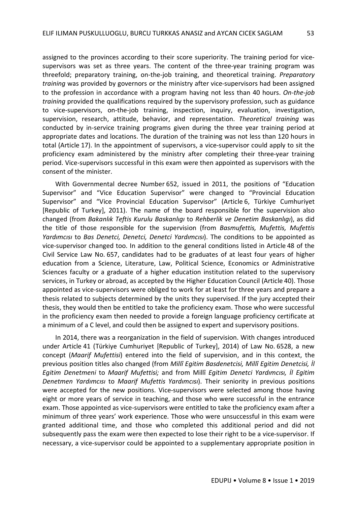assigned to the provinces according to their score superiority. The training period for vicesupervisors was set as three years. The content of the three-year training program was threefold; preparatory training, on-the-job training, and theoretical training. *Preparatory training* was provided by governors or the ministry after vice-supervisors had been assigned to the profession in accordance with a program having not less than 40 hours. *On-the-job training* provided the qualifications required by the supervisory profession, such as guidance to vice-supervisors, on-the-job training, inspection, inquiry, evaluation, investigation, supervision, research, attitude, behavior, and representation. *Theoretical training* was conducted by in-service training programs given during the three year training period at appropriate dates and locations. The duration of the training was not less than 120 hours in total (Article 17). In the appointment of supervisors, a vice-supervisor could apply to sit the proficiency exam administered by the ministry after completing their three-year training period. Vice-supervisors successful in this exam were then appointed as supervisors with the consent of the minister.

With Governmental decree Number 652, issued in 2011, the positions of "Education Supervisor" and "Vice Education Supervisor" were changed to "Provincial Education Supervisor" and "Vice Provincial Education Supervisor" (Article 6, Türkiye Cumhuriyet [Republic of Turkey], 2011). The name of the board responsible for the supervision also changed (from *Bakanlık Teftis Kurulu Baskanlıgı* to *Rehberlik ve Denetim Baskanlıgı*), as did the title of those responsible for the supervision (from *Basmufettis, Mufettis, Mufettis Yardımcısı* to *Bas Denetci, Denetci, Denetci Yardımcısı*). The conditions to be appointed as vice-supervisor changed too. In addition to the general conditions listed in Article 48 of the Civil Service Law No. 657, candidates had to be graduates of at least four years of higher education from a Science, Literature, Law, Political Science, Economics or Administrative Sciences faculty or a graduate of a higher education institution related to the supervisory services, in Turkey or abroad, as accepted by the Higher Education Council (Article 40). Those appointed as vice-supervisors were obliged to work for at least for three years and prepare a thesis related to subjects determined by the units they supervised. If the jury accepted their thesis, they would then be entitled to take the proficiency exam. Those who were successful in the proficiency exam then needed to provide a foreign language proficiency certificate at a minimum of a C level, and could then be assigned to expert and supervisory positions.

In 2014, there was a reorganization in the field of supervision. With changes introduced under Article 41 (Türkiye Cumhuriyet [Republic of Turkey], 2014) of Law No. 6528, a new concept (*Maarif Mufettisi*) entered into the field of supervision, and in this context, the previous position titles also changed (from *Millî Egitim Basdenetcisi, Millî Egitim Denetcisi, İl Egitim Denetmeni* to *Maarif Mufettisi;* and from Millî *Egitim Denetci Yardımcısı, İl Egitim Denetmen Yardımcısı* to *Maarif Mufettis Yardımcısı*). Their seniority in previous positions were accepted for the new positions. Vice-supervisors were selected among those having eight or more years of service in teaching, and those who were successful in the entrance exam. Those appointed as vice-supervisors were entitled to take the proficiency exam after a minimum of three years' work experience. Those who were unsuccessful in this exam were granted additional time, and those who completed this additional period and did not subsequently pass the exam were then expected to lose their right to be a vice-supervisor. If necessary, a vice-supervisor could be appointed to a supplementary appropriate position in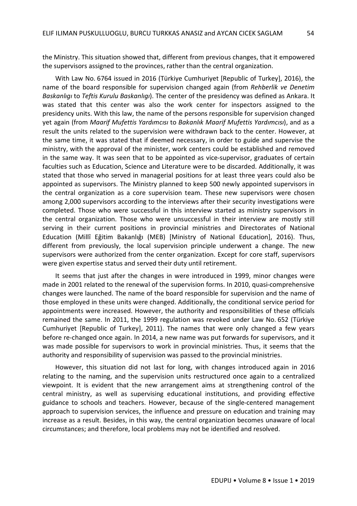the Ministry. This situation showed that, different from previous changes, that it empowered the supervisors assigned to the provinces, rather than the central organization.

With Law No. 6764 issued in 2016 (Türkiye Cumhuriyet [Republic of Turkey], 2016), the name of the board responsible for supervision changed again (from *Rehberlik ve Denetim Baskanlıgı* to *Teftis Kurulu Baskanlıgı*). The center of the presidency was defined as Ankara. It was stated that this center was also the work center for inspectors assigned to the presidency units. With this law, the name of the persons responsible for supervision changed yet again (from *Maarif Mufettis Yardımcısı* to *Bakanlık Maarif Mufettis Yardımcısı*), and as a result the units related to the supervision were withdrawn back to the center. However, at the same time, it was stated that if deemed necessary, in order to guide and supervise the ministry, with the approval of the minister, work centers could be established and removed in the same way. It was seen that to be appointed as vice-supervisor, graduates of certain faculties such as Education, Science and Literature were to be discarded. Additionally, it was stated that those who served in managerial positions for at least three years could also be appointed as supervisors. The Ministry planned to keep 500 newly appointed supervisors in the central organization as a core supervision team. These new supervisors were chosen among 2,000 supervisors according to the interviews after their security investigations were completed. Those who were successful in this interview started as ministry supervisors in the central organization. Those who were unsuccessful in their interview are mostly still serving in their current positions in provincial ministries and Directorates of National Education (Millî Eğitim Bakanlığı (MEB) [Ministry of National Education], 2016). Thus, different from previously, the local supervision principle underwent a change. The new supervisors were authorized from the center organization. Except for core staff, supervisors were given expertise status and served their duty until retirement.

It seems that just after the changes in were introduced in 1999, minor changes were made in 2001 related to the renewal of the supervision forms. In 2010, quasi-comprehensive changes were launched. The name of the board responsible for supervision and the name of those employed in these units were changed. Additionally, the conditional service period for appointments were increased. However, the authority and responsibilities of these officials remained the same. In 2011, the 1999 regulation was revoked under Law No. 652 (Türkiye Cumhuriyet [Republic of Turkey], 2011). The names that were only changed a few years before re-changed once again. In 2014, a new name was put forwards for supervisors, and it was made possible for supervisors to work in provincial ministries. Thus, it seems that the authority and responsibility of supervision was passed to the provincial ministries.

However, this situation did not last for long, with changes introduced again in 2016 relating to the naming, and the supervision units restructured once again to a centralized viewpoint. It is evident that the new arrangement aims at strengthening control of the central ministry, as well as supervising educational institutions, and providing effective guidance to schools and teachers. However, because of the single-centered management approach to supervision services, the influence and pressure on education and training may increase as a result. Besides, in this way, the central organization becomes unaware of local circumstances; and therefore, local problems may not be identified and resolved.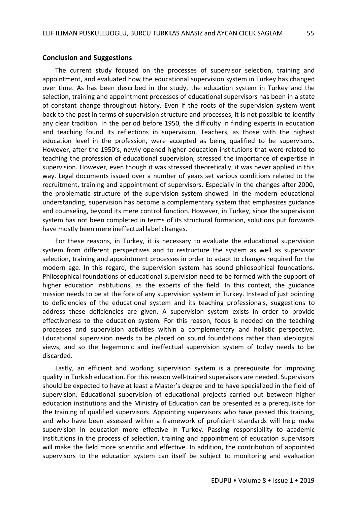#### **Conclusion and Suggestions**

The current study focused on the processes of supervisor selection, training and appointment, and evaluated how the educational supervision system in Turkey has changed over time. As has been described in the study, the education system in Turkey and the selection, training and appointment processes of educational supervisors has been in a state of constant change throughout history. Even if the roots of the supervision system went back to the past in terms of supervision structure and processes, it is not possible to identify any clear tradition. In the period before 1950, the difficulty in finding experts in education and teaching found its reflections in supervision. Teachers, as those with the highest education level in the profession, were accepted as being qualified to be supervisors. However, after the 1950's, newly opened higher education institutions that were related to teaching the profession of educational supervision, stressed the importance of expertise in supervision. However, even though it was stressed theoretically, it was never applied in this way. Legal documents issued over a number of years set various conditions related to the recruitment, training and appointment of supervisors. Especially in the changes after 2000, the problematic structure of the supervision system showed. In the modern educational understanding, supervision has become a complementary system that emphasizes guidance and counseling, beyond its mere control function. However, in Turkey, since the supervision system has not been completed in terms of its structural formation, solutions put forwards have mostly been mere ineffectual label changes.

For these reasons, in Turkey, it is necessary to evaluate the educational supervision system from different perspectives and to restructure the system as well as supervisor selection, training and appointment processes in order to adapt to changes required for the modern age. In this regard, the supervision system has sound philosophical foundations. Philosophical foundations of educational supervision need to be formed with the support of higher education institutions, as the experts of the field. In this context, the guidance mission needs to be at the fore of any supervision system in Turkey. Instead of just pointing to deficiencies of the educational system and its teaching professionals, suggestions to address these deficiencies are given. A supervision system exists in order to provide effectiveness to the education system. For this reason, focus is needed on the teaching processes and supervision activities within a complementary and holistic perspective. Educational supervision needs to be placed on sound foundations rather than ideological views, and so the hegemonic and ineffectual supervision system of today needs to be discarded.

Lastly, an efficient and working supervision system is a prerequisite for improving quality in Turkish education. For this reason well-trained supervisors are needed. Supervisors should be expected to have at least a Master's degree and to have specialized in the field of supervision. Educational supervision of educational projects carried out between higher education institutions and the Ministry of Education can be presented as a prerequisite for the training of qualified supervisors. Appointing supervisors who have passed this training, and who have been assessed within a framework of proficient standards will help make supervision in education more effective in Turkey. Passing responsibility to academic institutions in the process of selection, training and appointment of education supervisors will make the field more scientific and effective. In addition, the contribution of appointed supervisors to the education system can itself be subject to monitoring and evaluation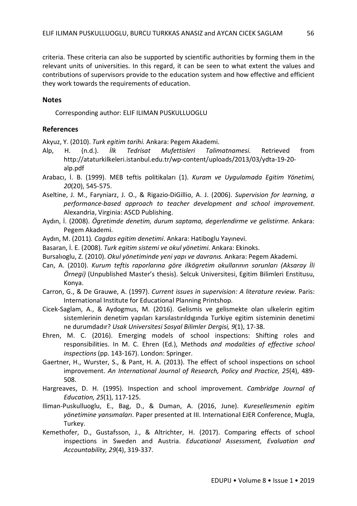criteria. These criteria can also be supported by scientific authorities by forming them in the relevant units of universities. In this regard, it can be seen to what extent the values and contributions of supervisors provide to the education system and how effective and efficient they work towards the requirements of education.

## **Notes**

Corresponding author: ELIF ILIMAN PUSKULLUOGLU

## **References**

Akyuz, Y. (2010). *Turk egitim tarihi.* Ankara: Pegem Akademi.

- Alp, H. (n.d.). *İlk Tedrisat Mufettisleri Talimatnamesi*. Retrieved from http://ataturkilkeleri.istanbul.edu.tr/wp-content/uploads/2013/03/ydta-19-20 alp.pdf
- Arabacı, İ. B. (1999). MEB teftis politikaları (1). *Kuram ve Uygulamada Egitim Yönetimi, 20*(20), 545-575.
- Aseltine, J. M., Faryniarz, J. O., & Rigazio-DiGillio, A. J. (2006). *Supervision for learning, a performance-based approach to teacher development and school improvement*. Alexandria, Virginia: ASCD Publishing.
- Aydın, İ. (2008). *Ögretimde denetim, durum saptama, degerlendirme ve gelistirme*. Ankara: Pegem Akademi.
- Aydın, M. (2011)*. Cagdas egitim denetimi*. Ankara: Hatiboglu Yayınevi.
- Basaran, İ. E. (2008). *Turk egitim sistemi ve okul yönetimi*. Ankara: Ekinoks.
- Bursalıoglu, Z. (2010). *Okul yönetiminde yeni yapı ve davranıs.* Ankara: Pegem Akademi.
- Can, A. (2010). *Kurum teftis raporlarına göre ilkögretim okullarının sorunları (Aksaray İli Örnegi)* (Unpublished Master's thesis). Selcuk Universitesi, Egitim Bilimleri Enstitusu, Konya.
- Carron, G., & De Grauwe, A. (1997). *Current issues in supervision: A literature review.* Paris: International Institute for Educational Planning Printshop.
- Cicek-Saglam, A., & Aydogmus, M. (2016). Gelismis ve gelismekte olan ulkelerin egitim sistemlerinin denetim yapıları karsılastırıldıgında Turkiye egitim sisteminin denetimi ne durumdadır? *Usak Universitesi Sosyal Bilimler Dergisi, 9*(1), 17-38.
- Ehren, M. C. (2016). Emerging models of school inspections: Shifting roles and responsibilities. In M. C. Ehren (Ed.), Methods *and modalities of effective school inspections* (pp. 143-167). London: Springer.
- Gaertner, H., Wurster, S., & Pant, H. A. (2013). The effect of school inspections on school improvement. *An International Journal of Research, Policy and Practice, 25*(4), 489- 508.
- Hargreaves, D. H. (1995). Inspection and school improvement. *Cambridge Journal of Education, 25*(1), 117-125.
- Iliman-Puskulluoglu, E., Bag, D., & Duman, A. (2016, June). *Kuresellesmenin egitim yönetimine yansımaları*. Paper presented at III. International EJER Conference, Mugla, Turkey.
- Kemethofer, D., Gustafsson, J., & Altrichter, H. (2017). Comparing effects of school inspections in Sweden and Austria. *Educational Assessment, Evaluation and Accountability, 29*(4), 319-337.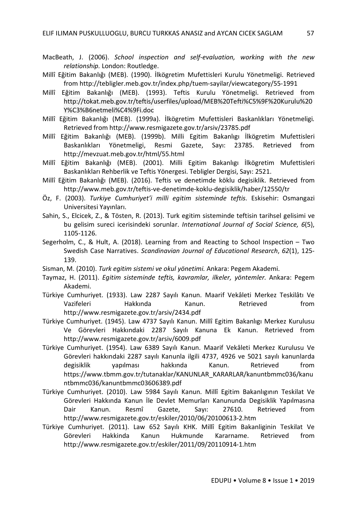- MacBeath, J. (2006). *School inspection and self-evaluation, working with the new relationship.* London: Routledge.
- Millî Eğitim Bakanlığı (MEB). (1990). İlkögretim Mufettisleri Kurulu Yönetmeligi. Retrieved from http://tebligler.meb.gov.tr/index.php/tuem-sayilar/viewcategory/55-1991
- Millî Eğitim Bakanlığı (MEB). (1993). Teftis Kurulu Yönetmeligi. Retrieved from http://tokat.meb.gov.tr/teftis/userfiles/upload/MEB%20Tefti%C5%9F%20Kurulu%20 Y%C3%B6netmeli%C4%9Fi.doc
- Millî Eğitim Bakanlığı (MEB). (1999a). İlkögretim Mufettisleri Baskanlıkları Yönetmeligi. Retrieved from http://www.resmigazete.gov.tr/arsiv/23785.pdf
- Millî Eğitim Bakanlığı (MEB). (1999b). Milli Egitim Bakanlıgı İlkögretim Mufettisleri Baskanlıkları Yönetmeligi, Resmi Gazete, Sayı: 23785. Retrieved from http://mevzuat.meb.gov.tr/html/55.html
- Millî Eğitim Bakanlığı (MEB). (2001). Milli Egitim Bakanlıgı İlkögretim Mufettisleri Baskanlıkları Rehberlik ve Teftis Yönergesi. Tebligler Dergisi, Sayı: 2521.
- Millî Eğitim Bakanlığı (MEB). (2016). Teftis ve denetimde köklu degisiklik. Retrieved from http://www.meb.gov.tr/teftis-ve-denetimde-koklu-degisiklik/haber/12550/tr
- Öz, F. (2003). *Turkiye Cumhuriyet'i milli egitim sisteminde teftis*. Eskisehir: Osmangazi Universitesi Yayınları.
- Sahin, S., Elcicek, Z., & Tösten, R. (2013). Turk egitim sisteminde teftisin tarihsel gelisimi ve bu gelisim sureci icerisindeki sorunlar. *International Journal of Social Science, 6*(5), 1105-1126.
- Segerholm, C., & Hult, A. (2018). Learning from and Reacting to School Inspection Two Swedish Case Narratives. *Scandinavian Journal of Educational Research*, *62*(1), 125- 139.
- Sisman, M. (2010). *Turk egitim sistemi ve okul yönetimi.* Ankara: Pegem Akademi.
- Taymaz, H. (2011). *Egitim sisteminde teftis, kavramlar, ilkeler, yöntemler.* Ankara: Pegem Akademi.
- Türkiye Cumhuriyet. (1933). Law 2287 Sayılı Kanun. Maarif Vekâleti Merkez Teskilâtı Ve Vazifeleri Hakkında Kanun. Retrieved from http://www.resmigazete.gov.tr/arsiv/2434.pdf
- Türkiye Cumhuriyet. (1945). Law 4737 Sayılı Kanun. Millî Egitim Bakanlıgı Merkez Kurulusu Ve Görevleri Hakkındaki 2287 Sayılı Kanuna Ek Kanun. Retrieved from http://www.resmigazete.gov.tr/arsiv/6009.pdf
- Türkiye Cumhuriyet. (1954). Law 6389 Sayılı Kanun. Maarif Vekâleti Merkez Kurulusu Ve Görevleri hakkındaki 2287 sayılı Kanunla ilgili 4737, 4926 ve 5021 sayılı kanunlarda degisiklik yapılması hakkında Kanun. Retrieved from https://www.tbmm.gov.tr/tutanaklar/KANUNLAR\_KARARLAR/kanuntbmmc036/kanu ntbmmc036/kanuntbmmc03606389.pdf
- Türkiye Cumhuriyet. (2010). Law 5984 Sayılı Kanun. Millî Egitim Bakanlıgının Teskilat Ve Görevleri Hakkında Kanun İle Devlet Memurları Kanununda Degisiklik Yapılmasına Dair Kanun. Resmî Gazete, Sayı: 27610. Retrieved from http://www.resmigazete.gov.tr/eskiler/2010/06/20100613-2.htm
- Türkiye Cumhuriyet. (2011). Law 652 Sayılı KHK. Millî Egitim Bakanliginin Teskilat Ve Görevleri Hakkinda Kanun Hukmunde Kararname. Retrieved from http://www.resmigazete.gov.tr/eskiler/2011/09/20110914-1.htm